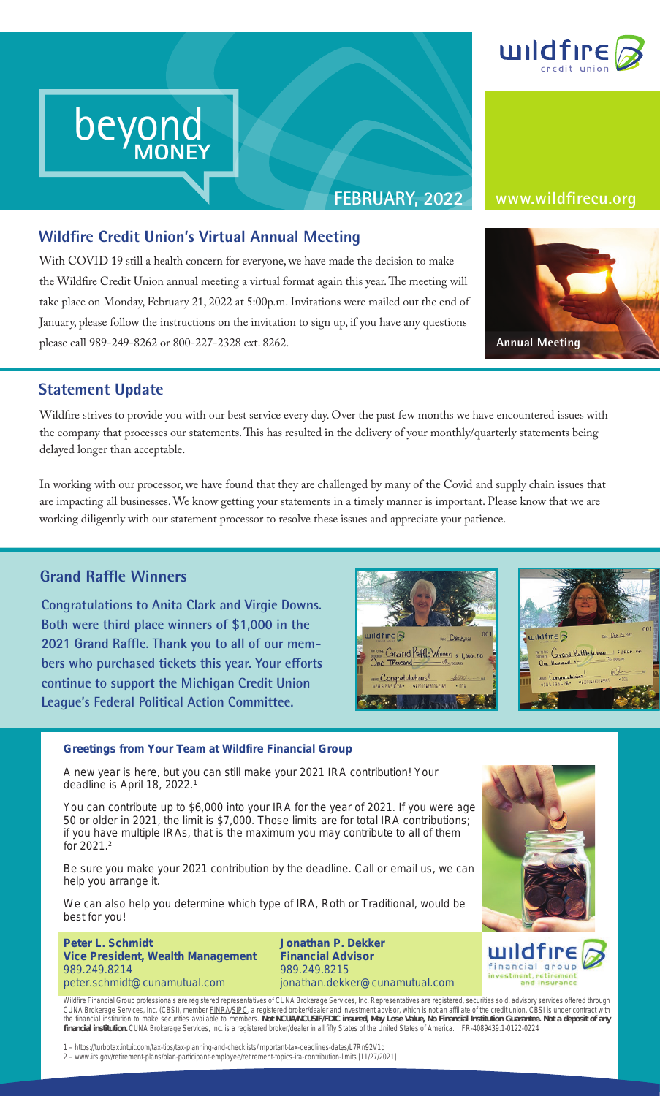

### **Wildfire Credit Union's Virtual Annual Meeting**

**beyond** 

**MONEY**

With COVID 19 still a health concern for everyone, we have made the decision to make the Wildfire Credit Union annual meeting a virtual format again this year. The meeting will take place on Monday, February 21, 2022 at 5:00p.m. Invitations were mailed out the end of January, please follow the instructions on the invitation to sign up, if you have any questions please call 989-249-8262 or 800-227-2328 ext. 8262. **re Credit Union's Virt**<br>DVID 19 still a health concern<br>lfire Credit Union annual meet

#### **FEBRUARY, 2022 www.wildfirecu.org**



#### **Statement Update**

beyond beyond

MONEY

beyond MONEY

Wildfire strives to provide you with our best service every day. Over the past few months we have encountered issues with the company that processes our statements. This has resulted in the delivery of your monthly/quarterly statements being delayed longer than acceptable.

In working with our processor, we have found that they are challenged by many of the Covid and supply chain issues that are impacting all businesses. We know getting your statements in a timely manner is important. Please know that we are working diligently with our statement processor to resolve these issues and appreciate your patience.

#### **Grand Raffle Winners**

**Congratulations to Anita Clark and Virgie Downs. Both were third place winners of \$1,000 in the 2021 Grand Raffle. Thank you to all of our members who purchased tickets this year. Your efforts continue to support the Michigan Credit Union League's Federal Political Action Committee.**





#### **Greetings from Your Team at Wildfire Financial Group**

A new year is here, but you can still make your 2021 IRA contribution! Your deadline is April 18, 2022.<sup>1</sup>

You can contribute up to \$6,000 into your IRA for the year of 2021. If you were age 50 or older in 2021, the limit is \$7,000. Those limits are for total IRA contributions; if you have multiple IRAs, that is the maximum you may contribute to all of them for 2021.²

Be sure you make your 2021 contribution by the deadline. Call or email us, we can help you arrange it.

We can also help you determine which type of IRA, Roth or Traditional, would be best for you!

**Peter L. Schmidt Vice President, Wealth Management** 989.249.8214 peter.schmidt@cunamutual.com

**Jonathan P. Dekker Financial Advisor** 989.249.8215 jonathan.dekker@cunamutual.com





Wildfire Financial Group professionals are registered representatives of CUNA Brokerage Services, Inc. Representatives are registered, securities sold, advisory services offered through CUNA Brokerage Services, Inc. (CBSI), member <u>FINRA/SIPC</u>, a registered broker/dealer and investment advisor, which is not an affiliate of the credit union. CBSI is under contract with the financial institution to make securities available to members. **Not NCUA/NCUSIF/FDIC insured, May Lose Value, No Financial Institution Guarantee. Not a deposit of any financial institution.** CUNA Brokerage Services, Inc. is a registered broker/dealer in all fifty States of the United States of America. FR-4089439.1-0122-0224

1 – https://turbotax.intuit.com/tax-tips/tax-planning-and-checklists/important-tax-deadlines-dates/L7Rn92V1d 2 – www.irs.gov/retirement-plans/plan-participant-employee/retirement-topics-ira-contribution-limits [11/27/2021]